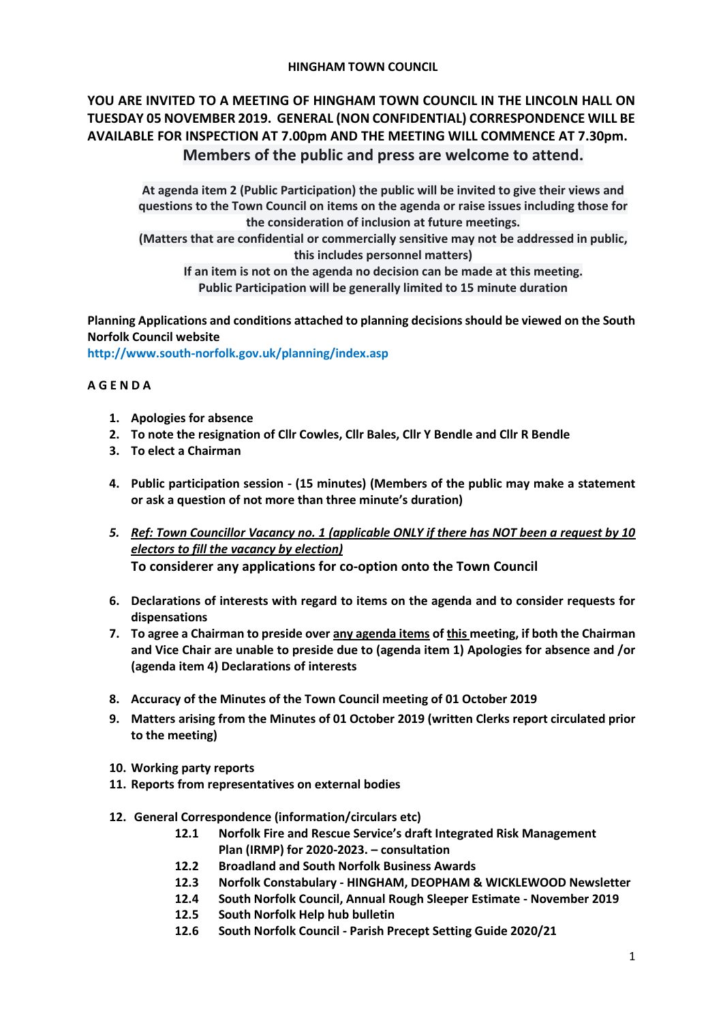#### **HINGHAM TOWN COUNCIL**

# **YOU ARE INVITED TO A MEETING OF HINGHAM TOWN COUNCIL IN THE LINCOLN HALL ON TUESDAY 05 NOVEMBER 2019. GENERAL (NON CONFIDENTIAL) CORRESPONDENCE WILL BE AVAILABLE FOR INSPECTION AT 7.00pm AND THE MEETING WILL COMMENCE AT 7.30pm. Members of the public and press are welcome to attend.**

**At agenda item 2 (Public Participation) the public will be invited to give their views and questions to the Town Council on items on the agenda or raise issues including those for the consideration of inclusion at future meetings.**

**(Matters that are confidential or commercially sensitive may not be addressed in public, this includes personnel matters)**

**If an item is not on the agenda no decision can be made at this meeting. Public Participation will be generally limited to 15 minute duration**

**Planning Applications and conditions attached to planning decisions should be viewed on the South Norfolk Council website** 

**<http://www.south-norfolk.gov.uk/planning/index.asp>**

#### **A G E N D A**

- **1. Apologies for absence**
- **2. To note the resignation of Cllr Cowles, Cllr Bales, Cllr Y Bendle and Cllr R Bendle**
- **3. To elect a Chairman**
- **4. Public participation session - (15 minutes) (Members of the public may make a statement or ask a question of not more than three minute's duration)**
- *5. Ref: Town Councillor Vacancy no. 1 (applicable ONLY if there has NOT been a request by 10 electors to fill the vacancy by election)* **To considerer any applications for co-option onto the Town Council**
- **6. Declarations of interests with regard to items on the agenda and to consider requests for dispensations**
- **7. To agree a Chairman to preside over any agenda items of this meeting, if both the Chairman and Vice Chair are unable to preside due to (agenda item 1) Apologies for absence and /or (agenda item 4) Declarations of interests**
- **8. Accuracy of the Minutes of the Town Council meeting of 01 October 2019**
- **9. Matters arising from the Minutes of 01 October 2019 (written Clerks report circulated prior to the meeting)**
- **10. Working party reports**
- **11. Reports from representatives on external bodies**
- **12. General Correspondence (information/circulars etc)**
	- **12.1 Norfolk Fire and Rescue Service's draft Integrated Risk Management Plan (IRMP) for 2020-2023. – consultation**
	- **12.2 Broadland and South Norfolk Business Awards**
	- **12.3 Norfolk Constabulary - HINGHAM, DEOPHAM & WICKLEWOOD Newsletter**
	- **12.4 South Norfolk Council, Annual Rough Sleeper Estimate - November 2019**
	- **12.5 South Norfolk Help hub bulletin**
	- **12.6 South Norfolk Council - Parish Precept Setting Guide 2020/21**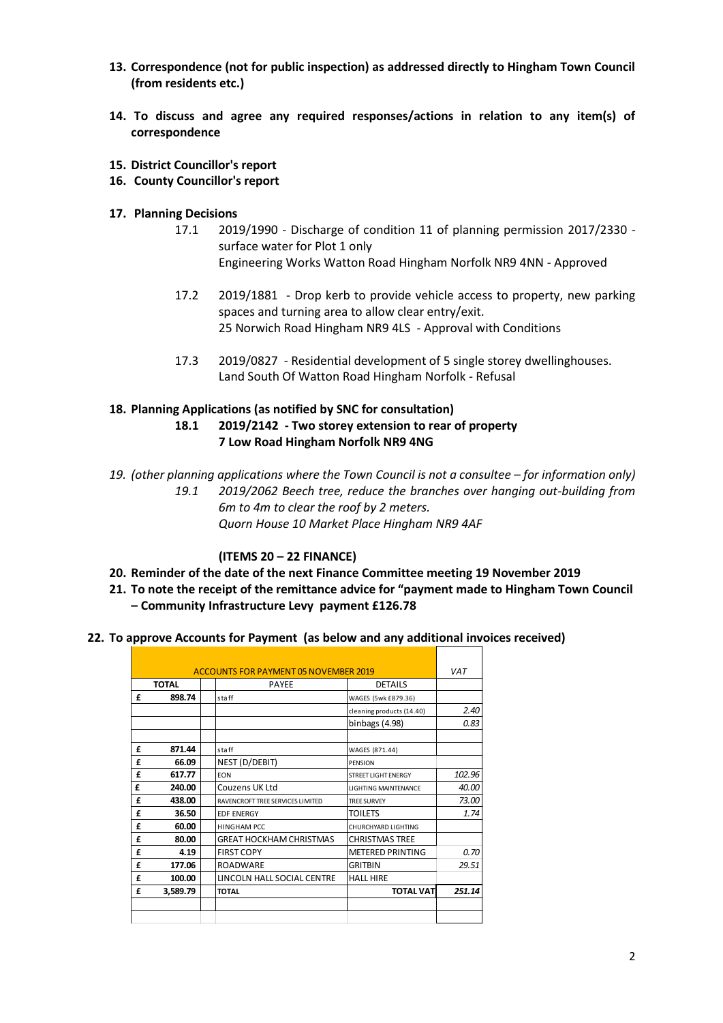- **13. Correspondence (not for public inspection) as addressed directly to Hingham Town Council (from residents etc.)**
- **14. To discuss and agree any required responses/actions in relation to any item(s) of correspondence**
- **15. District Councillor's report**
- **16. County Councillor's report**
- **17. Planning Decisions**
	- 17.1 2019/1990 Discharge of condition 11 of planning permission 2017/2330 surface water for Plot 1 only Engineering Works Watton Road Hingham Norfolk NR9 4NN - Approved
	- 17.2 2019/1881 Drop kerb to provide vehicle access to property, new parking spaces and turning area to allow clear entry/exit. 25 Norwich Road Hingham NR9 4LS - Approval with Conditions
	- 17.3 2019/0827 Residential development of 5 single storey dwellinghouses. Land South Of Watton Road Hingham Norfolk - Refusal

### **18. Planning Applications (as notified by SNC for consultation) 18.1 2019/2142 - Two storey extension to rear of property 7 Low Road Hingham Norfolk NR9 4NG**

*19. (other planning applications where the Town Council is not a consultee – for information only) 19.1 2019/2062 Beech tree, reduce the branches over hanging out-building from 6m to 4m to clear the roof by 2 meters. Quorn House 10 Market Place Hingham NR9 4AF*

## **(ITEMS 20 – 22 FINANCE)**

- **20. Reminder of the date of the next Finance Committee meeting 19 November 2019**
- **21. To note the receipt of the remittance advice for "payment made to Hingham Town Council – Community Infrastructure Levy payment £126.78**
- **22. To approve Accounts for Payment (as below and any additional invoices received)**

| <b>ACCOUNTS FOR PAYMENT 05 NOVEMBER 2019</b> |          |                                  |                             | <b>VAT</b> |
|----------------------------------------------|----------|----------------------------------|-----------------------------|------------|
| <b>TOTAL</b>                                 |          | <b>PAYEE</b>                     | <b>DETAILS</b>              |            |
| £                                            | 898.74   | staff                            | WAGES (5wk £879.36)         |            |
|                                              |          |                                  | cleaning products (14.40)   | 2.40       |
|                                              |          |                                  | binbags (4.98)              | 0.83       |
|                                              |          |                                  |                             |            |
| £                                            | 871.44   | staff                            | WAGES (871.44)              |            |
| £                                            | 66.09    | NEST (D/DEBIT)                   | PENSION                     |            |
| £                                            | 617.77   | <b>FON</b>                       | <b>STREET LIGHT ENERGY</b>  | 102.96     |
| £                                            | 240.00   | Couzens UK Ltd                   | <b>LIGHTING MAINTFNANCF</b> | 40.00      |
| £                                            | 438.00   | RAVENCROFT TREE SERVICES LIMITED | <b>TREE SURVEY</b>          | 73.00      |
| £                                            | 36.50    | <b>EDF ENERGY</b>                | <b>TOILETS</b>              | 1.74       |
| £                                            | 60.00    | <b>HINGHAM PCC</b>               | CHURCHYARD LIGHTING         |            |
| £                                            | 80.00    | GREAT HOCKHAM CHRISTMAS          | CHRISTMAS TREE              |            |
| £                                            | 4.19     | <b>FIRST COPY</b>                | <b>METERED PRINTING</b>     | 0.70       |
| £                                            | 177.06   | <b>ROADWARE</b>                  | <b>GRITBIN</b>              | 29.51      |
| £                                            | 100.00   | LINCOLN HALL SOCIAL CENTRE       | <b>HALL HIRE</b>            |            |
| £                                            | 3,589.79 | <b>TOTAL</b>                     | <b>TOTAL VAT</b>            | 251.14     |
|                                              |          |                                  |                             |            |
|                                              |          |                                  |                             |            |